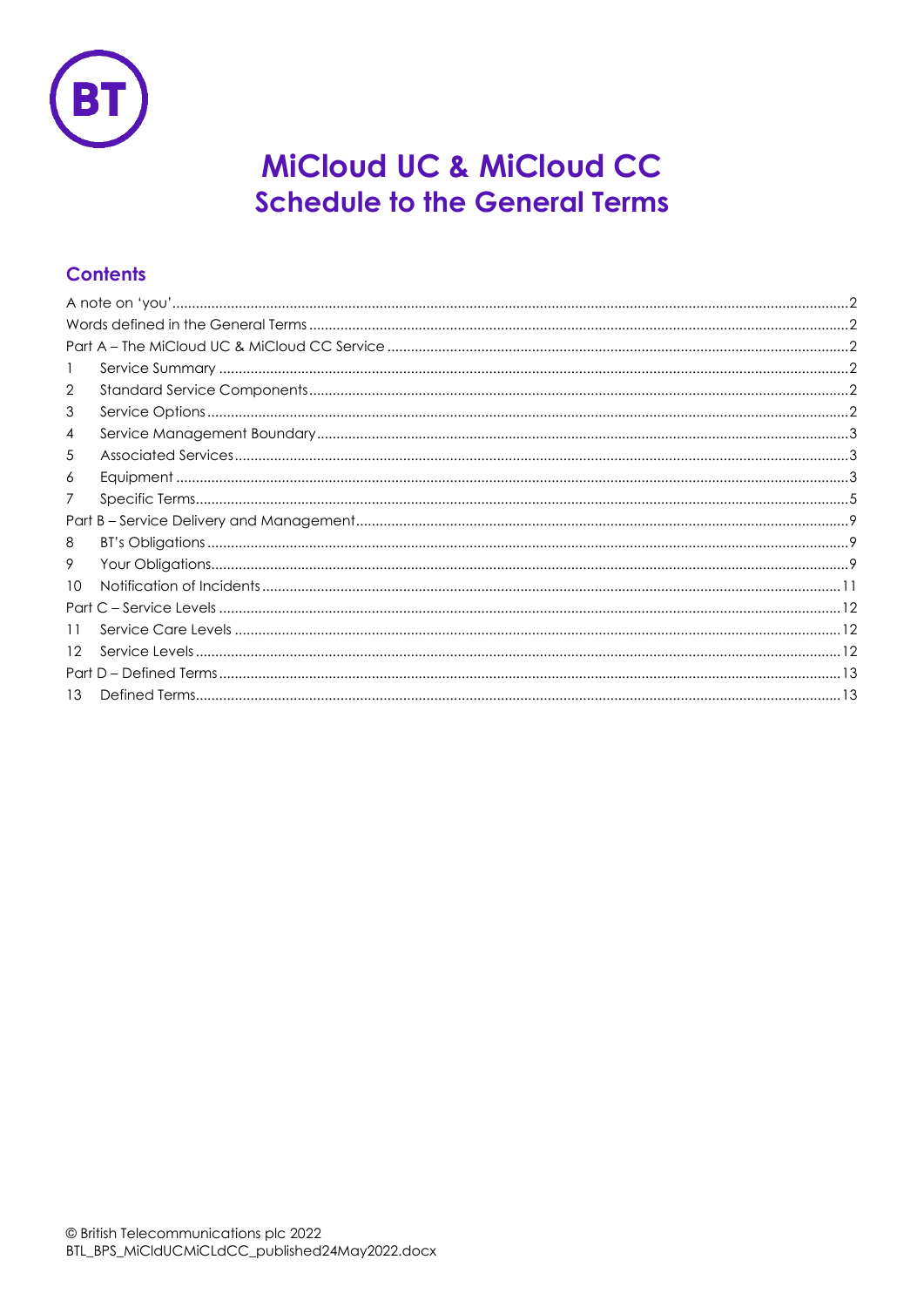

# MiCloud UC & MiCloud CC **Schedule to the General Terms**

# **Contents**

| -1              |  |  |  |
|-----------------|--|--|--|
| $\overline{2}$  |  |  |  |
| 3               |  |  |  |
| 4               |  |  |  |
| 5               |  |  |  |
| 6               |  |  |  |
| 7               |  |  |  |
|                 |  |  |  |
| 8               |  |  |  |
| 9               |  |  |  |
| 10 <sup>°</sup> |  |  |  |
|                 |  |  |  |
| 11              |  |  |  |
| 12 <sup>°</sup> |  |  |  |
|                 |  |  |  |
| 13              |  |  |  |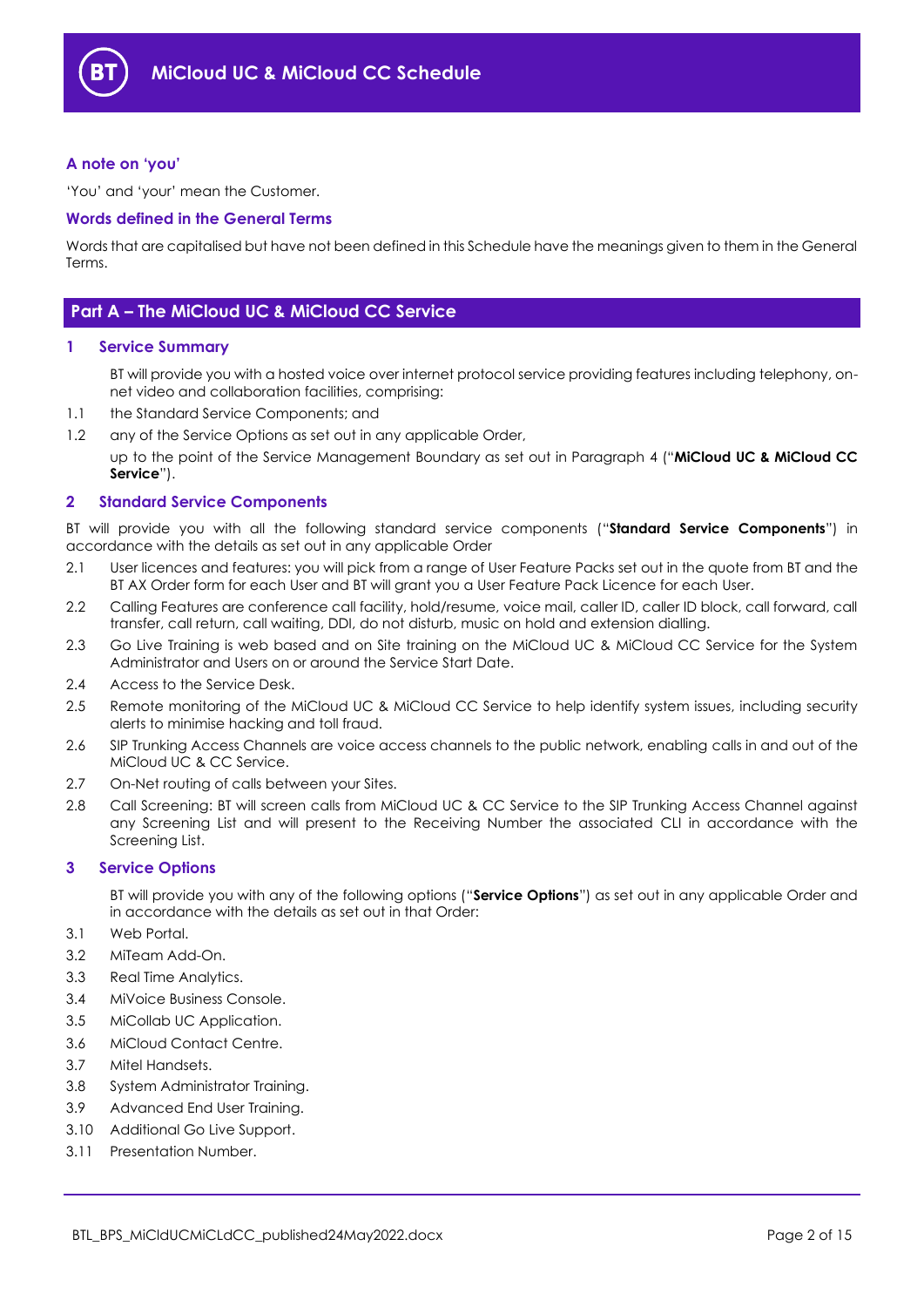

#### <span id="page-1-0"></span>**A note on 'you'**

'You' and 'your' mean the Customer.

#### <span id="page-1-1"></span>**Words defined in the General Terms**

Words that are capitalised but have not been defined in this Schedule have the meanings given to them in the General Terms.

## <span id="page-1-2"></span>**Part A – The MiCloud UC & MiCloud CC Service**

#### <span id="page-1-3"></span>**1 Service Summary**

BT will provide you with a hosted voice over internet protocol service providing features including telephony, onnet video and collaboration facilities, comprising:

- 1.1 the Standard Service Components; and
- 1.2 any of the Service Options as set out in any applicable Order,

up to the point of the Service Management Boundary as set out in Paragraph [4](#page-2-0) ("**MiCloud UC & MiCloud CC Service**").

#### <span id="page-1-4"></span>**2 Standard Service Components**

BT will provide you with all the following standard service components ("**Standard Service Components**") in accordance with the details as set out in any applicable Order

- 2.1 User licences and features: you will pick from a range of User Feature Packs set out in the quote from BT and the BT AX Order form for each User and BT will grant you a User Feature Pack Licence for each User.
- 2.2 Calling Features are conference call facility, hold/resume, voice mail, caller ID, caller ID block, call forward, call transfer, call return, call waiting, DDI, do not disturb, music on hold and extension dialling.
- 2.3 Go Live Training is web based and on Site training on the MiCloud UC & MiCloud CC Service for the System Administrator and Users on or around the Service Start Date.
- 2.4 Access to the Service Desk.
- 2.5 Remote monitoring of the MiCloud UC & MiCloud CC Service to help identify system issues, including security alerts to minimise hacking and toll fraud.
- 2.6 SIP Trunking Access Channels are voice access channels to the public network, enabling calls in and out of the MiCloud UC & CC Service.
- 2.7 On-Net routing of calls between your Sites.
- 2.8 Call Screening: BT will screen calls from MiCloud UC & CC Service to the SIP Trunking Access Channel against any Screening List and will present to the Receiving Number the associated CLI in accordance with the Screening List.

#### <span id="page-1-5"></span>**3 Service Options**

BT will provide you with any of the following options ("**Service Options**") as set out in any applicable Order and in accordance with the details as set out in that Order:

- 3.1 Web Portal.
- 3.2 MiTeam Add-On.
- 3.3 Real Time Analytics.
- 3.4 MiVoice Business Console.
- 3.5 MiCollab UC Application.
- 3.6 MiCloud Contact Centre.
- 3.7 Mitel Handsets.
- 3.8 System Administrator Training.
- 3.9 Advanced End User Training.
- 3.10 Additional Go Live Support.
- 3.11 Presentation Number.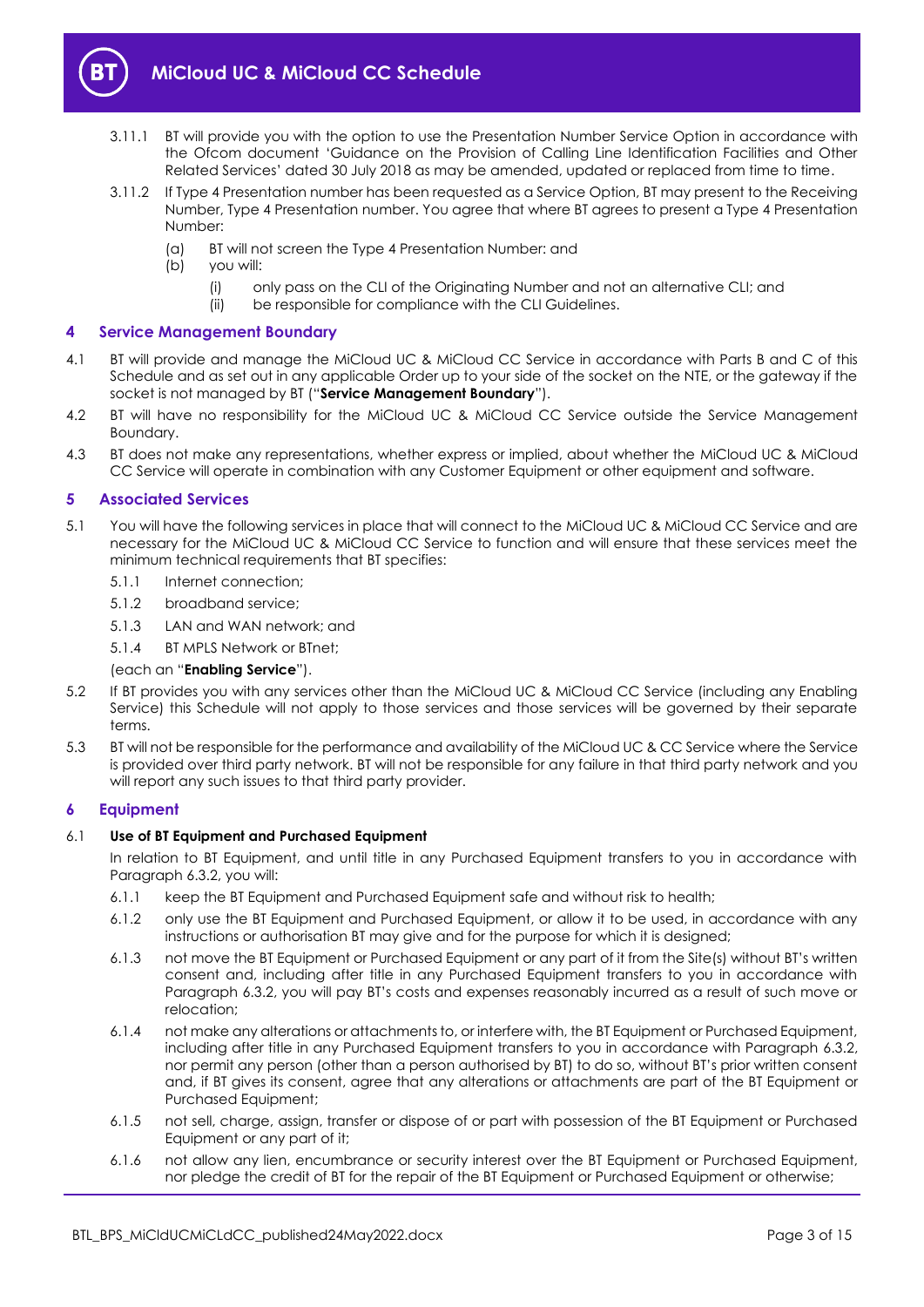

- 3.11.1 BT will provide you with the option to use the Presentation Number Service Option in accordance with the Ofcom document 'Guidance on the Provision of Calling Line Identification Facilities and Other Related Services' dated 30 July 2018 as may be amended, updated or replaced from time to time.
- 3.11.2 If Type 4 Presentation number has been requested as a Service Option, BT may present to the Receiving Number, Type 4 Presentation number. You agree that where BT agrees to present a Type 4 Presentation Number:
	- (a) BT will not screen the Type 4 Presentation Number: and
	- (b) you will:
		- (i) only pass on the CLI of the Originating Number and not an alternative CLI; and
		- (ii) be responsible for compliance with the CLI Guidelines.

#### <span id="page-2-0"></span>**4 Service Management Boundary**

- <span id="page-2-4"></span>4.1 BT will provide and manage the MiCloud UC & MiCloud CC Service in accordance with Parts B and C of this Schedule and as set out in any applicable Order up to your side of the socket on the NTE, or the gateway if the socket is not managed by BT ("**Service Management Boundary**").
- 4.2 BT will have no responsibility for the MiCloud UC & MiCloud CC Service outside the Service Management Boundary.
- 4.3 BT does not make any representations, whether express or implied, about whether the MiCloud UC & MiCloud CC Service will operate in combination with any Customer Equipment or other equipment and software.

#### <span id="page-2-1"></span>**5 Associated Services**

- <span id="page-2-3"></span>5.1 You will have the following services in place that will connect to the MiCloud UC & MiCloud CC Service and are necessary for the MiCloud UC & MiCloud CC Service to function and will ensure that these services meet the minimum technical requirements that BT specifies:
	- 5.1.1 Internet connection;
	- 5.1.2 broadband service:
	- 5.1.3 LAN and WAN network; and
	- 5.1.4 BT MPLS Network or BTnet;

#### (each an "**Enabling Service**").

- 5.2 If BT provides you with any services other than the MiCloud UC & MiCloud CC Service (including any Enabling Service) this Schedule will not apply to those services and those services will be governed by their separate terms.
- 5.3 BT will not be responsible for the performance and availability of the MiCloud UC & CC Service where the Service is provided over third party network. BT will not be responsible for any failure in that third party network and you will report any such issues to that third party provider.

#### <span id="page-2-2"></span>**6 Equipment**

#### 6.1 **Use of BT Equipment and Purchased Equipment**

In relation to BT Equipment, and until title in any Purchased Equipment transfers to you in accordance with Paragraph [6.3.2,](#page-3-0) you will:

- 6.1.1 keep the BT Equipment and Purchased Equipment safe and without risk to health;
- 6.1.2 only use the BT Equipment and Purchased Equipment, or allow it to be used, in accordance with any instructions or authorisation BT may give and for the purpose for which it is designed;
- 6.1.3 not move the BT Equipment or Purchased Equipment or any part of it from the Site(s) without BT's written consent and, including after title in any Purchased Equipment transfers to you in accordance with Paragraph [6.3.2](#page-3-0), you will pay BT's costs and expenses reasonably incurred as a result of such move or relocation;
- 6.1.4 not make any alterations or attachments to, or interfere with, the BT Equipment or Purchased Equipment, including after title in any Purchased Equipment transfers to you in accordance with Paragraph [6.3.2,](#page-3-0)  nor permit any person (other than a person authorised by BT) to do so, without BT's prior written consent and, if BT gives its consent, agree that any alterations or attachments are part of the BT Equipment or Purchased Equipment;
- 6.1.5 not sell, charge, assign, transfer or dispose of or part with possession of the BT Equipment or Purchased Equipment or any part of it;
- 6.1.6 not allow any lien, encumbrance or security interest over the BT Equipment or Purchased Equipment, nor pledge the credit of BT for the repair of the BT Equipment or Purchased Equipment or otherwise;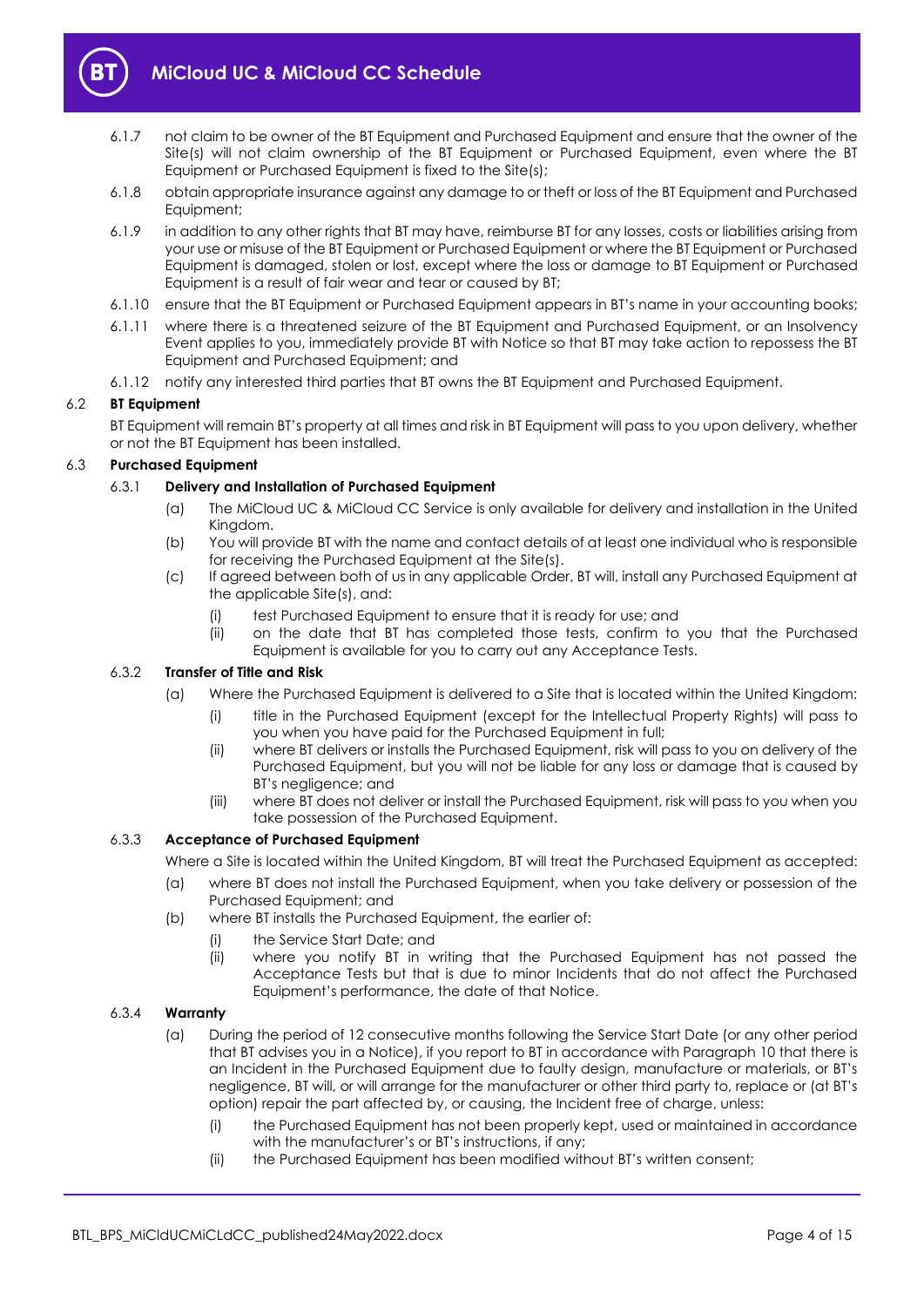

- 6.1.7 not claim to be owner of the BT Equipment and Purchased Equipment and ensure that the owner of the Site(s) will not claim ownership of the BT Equipment or Purchased Equipment, even where the BT Equipment or Purchased Equipment is fixed to the Site(s);
- 6.1.8 obtain appropriate insurance against any damage to or theft or loss of the BT Equipment and Purchased Equipment;
- 6.1.9 in addition to any other rights that BT may have, reimburse BT for any losses, costs or liabilities arising from your use or misuse of the BT Equipment or Purchased Equipment or where the BT Equipment or Purchased Equipment is damaged, stolen or lost, except where the loss or damage to BT Equipment or Purchased Equipment is a result of fair wear and tear or caused by BT;
- 6.1.10 ensure that the BT Equipment or Purchased Equipment appears in BT's name in your accounting books;
- 6.1.11 where there is a threatened seizure of the BT Equipment and Purchased Equipment, or an Insolvency Event applies to you, immediately provide BT with Notice so that BT may take action to repossess the BT Equipment and Purchased Equipment; and
- 6.1.12 notify any interested third parties that BT owns the BT Equipment and Purchased Equipment.

#### 6.2 **BT Equipment**

BT Equipment will remain BT's property at all times and risk in BT Equipment will pass to you upon delivery, whether or not the BT Equipment has been installed.

## 6.3 **Purchased Equipment**

#### 6.3.1 **Delivery and Installation of Purchased Equipment**

- (a) The MiCloud UC & MiCloud CC Service is only available for delivery and installation in the United Kingdom.
- (b) You will provide BT with the name and contact details of at least one individual who is responsible for receiving the Purchased Equipment at the Site(s).
- (c) If agreed between both of us in any applicable Order, BT will, install any Purchased Equipment at the applicable Site(s), and:
	- (i) test Purchased Equipment to ensure that it is ready for use; and
	- (ii) on the date that BT has completed those tests, confirm to you that the Purchased Equipment is available for you to carry out any Acceptance Tests.

#### <span id="page-3-0"></span>6.3.2 **Transfer of Title and Risk**

- (a) Where the Purchased Equipment is delivered to a Site that is located within the United Kingdom:
	- (i) title in the Purchased Equipment (except for the Intellectual Property Rights) will pass to you when you have paid for the Purchased Equipment in full;
	- (ii) where BT delivers or installs the Purchased Equipment, risk will pass to you on delivery of the Purchased Equipment, but you will not be liable for any loss or damage that is caused by BT's negligence; and
	- (iii) where BT does not deliver or install the Purchased Equipment, risk will pass to you when you take possession of the Purchased Equipment.

#### 6.3.3 **Acceptance of Purchased Equipment**

Where a Site is located within the United Kingdom, BT will treat the Purchased Equipment as accepted:

- (a) where BT does not install the Purchased Equipment, when you take delivery or possession of the Purchased Equipment; and
- (b) where BT installs the Purchased Equipment, the earlier of:
	- (i) the Service Start Date; and
	- (ii) where you notify BT in writing that the Purchased Equipment has not passed the Acceptance Tests but that is due to minor Incidents that do not affect the Purchased Equipment's performance, the date of that Notice.

#### <span id="page-3-1"></span>6.3.4 **Warranty**

- (a) During the period of 12 consecutive months following the Service Start Date (or any other period that BT advises you in a Notice), if you report to BT in accordance with Paragrap[h 10](#page-10-0) that there is an Incident in the Purchased Equipment due to faulty design, manufacture or materials, or BT's negligence, BT will, or will arrange for the manufacturer or other third party to, replace or (at BT's option) repair the part affected by, or causing, the Incident free of charge, unless:
	- (i) the Purchased Equipment has not been properly kept, used or maintained in accordance with the manufacturer's or BT's instructions, if any;
	- (ii) the Purchased Equipment has been modified without BT's written consent;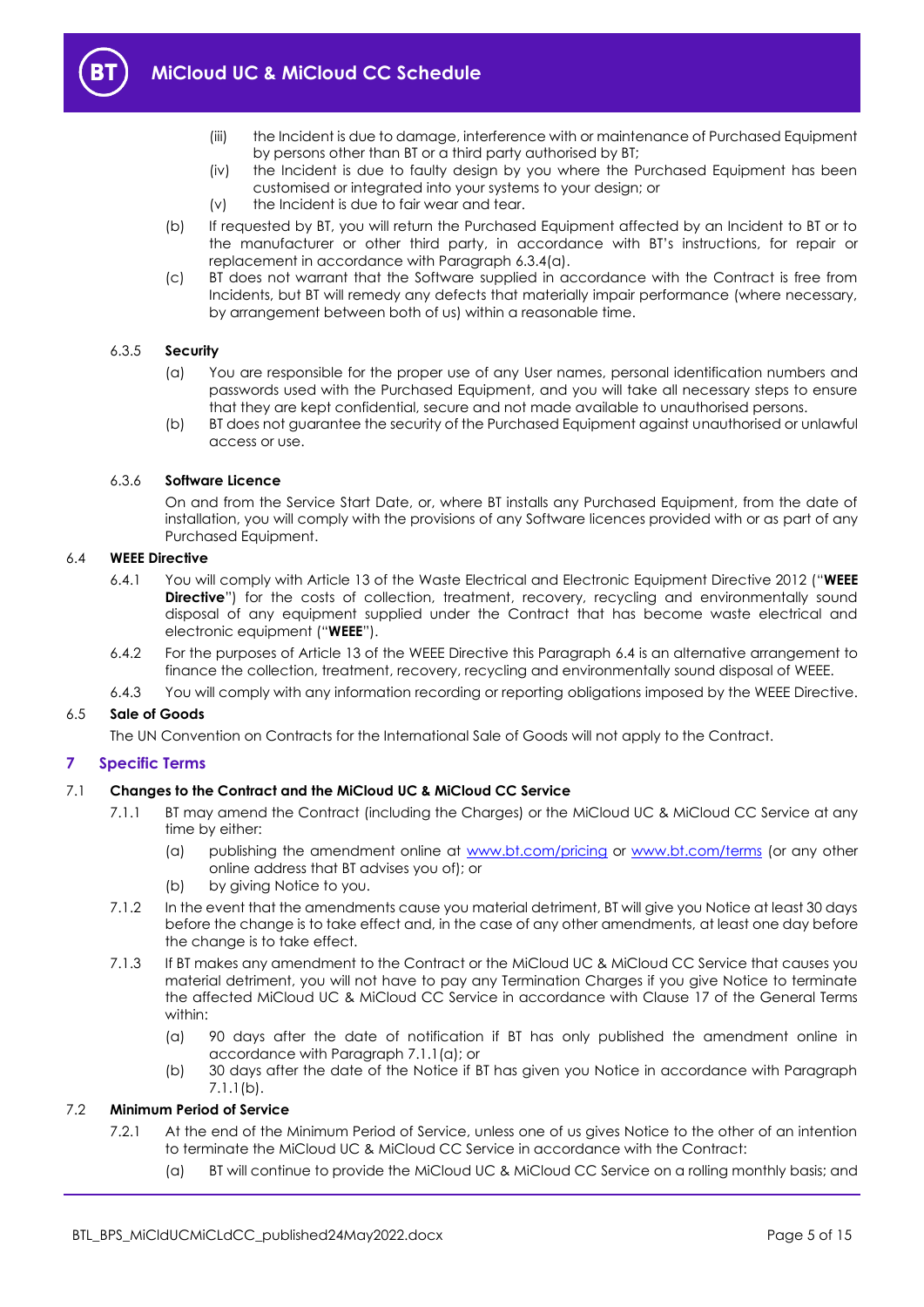

- (iii) the Incident is due to damage, interference with or maintenance of Purchased Equipment by persons other than BT or a third party authorised by BT;
- (iv) the Incident is due to faulty design by you where the Purchased Equipment has been customised or integrated into your systems to your design; or
- (v) the Incident is due to fair wear and tear.
- (b) If requested by BT, you will return the Purchased Equipment affected by an Incident to BT or to the manufacturer or other third party, in accordance with BT's instructions, for repair or replacement in accordance with Paragraph [6.3.4\(a\).](#page-3-1)
- (c) BT does not warrant that the Software supplied in accordance with the Contract is free from Incidents, but BT will remedy any defects that materially impair performance (where necessary, by arrangement between both of us) within a reasonable time.

#### 6.3.5 **Security**

- (a) You are responsible for the proper use of any User names, personal identification numbers and passwords used with the Purchased Equipment, and you will take all necessary steps to ensure that they are kept confidential, secure and not made available to unauthorised persons.
- (b) BT does not guarantee the security of the Purchased Equipment against unauthorised or unlawful access or use.

#### 6.3.6 **Software Licence**

On and from the Service Start Date, or, where BT installs any Purchased Equipment, from the date of installation, you will comply with the provisions of any Software licences provided with or as part of any Purchased Equipment.

#### <span id="page-4-4"></span><span id="page-4-1"></span>6.4 **WEEE Directive**

- 6.4.1 You will comply with Article 13 of the Waste Electrical and Electronic Equipment Directive 2012 ("**WEEE Directive**") for the costs of collection, treatment, recovery, recycling and environmentally sound disposal of any equipment supplied under the Contract that has become waste electrical and electronic equipment ("**WEEE**").
- 6.4.2 For the purposes of Article 13 of the WEEE Directive this Paragraph [6.4](#page-4-1) is an alternative arrangement to finance the collection, treatment, recovery, recycling and environmentally sound disposal of WEEE.
- 6.4.3 You will comply with any information recording or reporting obligations imposed by the WEEE Directive.

#### 6.5 **Sale of Goods**

The UN Convention on Contracts for the International Sale of Goods will not apply to the Contract.

#### <span id="page-4-0"></span>**7 Specific Terms**

#### <span id="page-4-2"></span>7.1 **Changes to the Contract and the MiCloud UC & MiCloud CC Service**

- 7.1.1 BT may amend the Contract (including the Charges) or the MiCloud UC & MiCloud CC Service at any time by either:
	- (a) publishing the amendment online at [www.bt.com/pricing](http://www.bt.com/pricing) or [www.bt.com/terms](http://www.bt.com/terms) (or any other online address that BT advises you of); or
	- (b) by giving Notice to you.
- <span id="page-4-3"></span>7.1.2 In the event that the amendments cause you material detriment, BT will give you Notice at least 30 days before the change is to take effect and, in the case of any other amendments, at least one day before the change is to take effect.
- 7.1.3 If BT makes any amendment to the Contract or the MiCloud UC & MiCloud CC Service that causes you material detriment, you will not have to pay any Termination Charges if you give Notice to terminate the affected MiCloud UC & MiCloud CC Service in accordance with Clause 17 of the General Terms within:
	- (a) 90 days after the date of notification if BT has only published the amendment online in accordance with Paragrap[h 7.1.1\(a\);](#page-4-2) or
	- (b) 30 days after the date of the Notice if BT has given you Notice in accordance with Paragraph [7.1.1\(b\).](#page-4-3)

#### 7.2 **Minimum Period of Service**

- 7.2.1 At the end of the Minimum Period of Service, unless one of us gives Notice to the other of an intention to terminate the MiCloud UC & MiCloud CC Service in accordance with the Contract:
	- (a) BT will continue to provide the MiCloud UC & MiCloud CC Service on a rolling monthly basis; and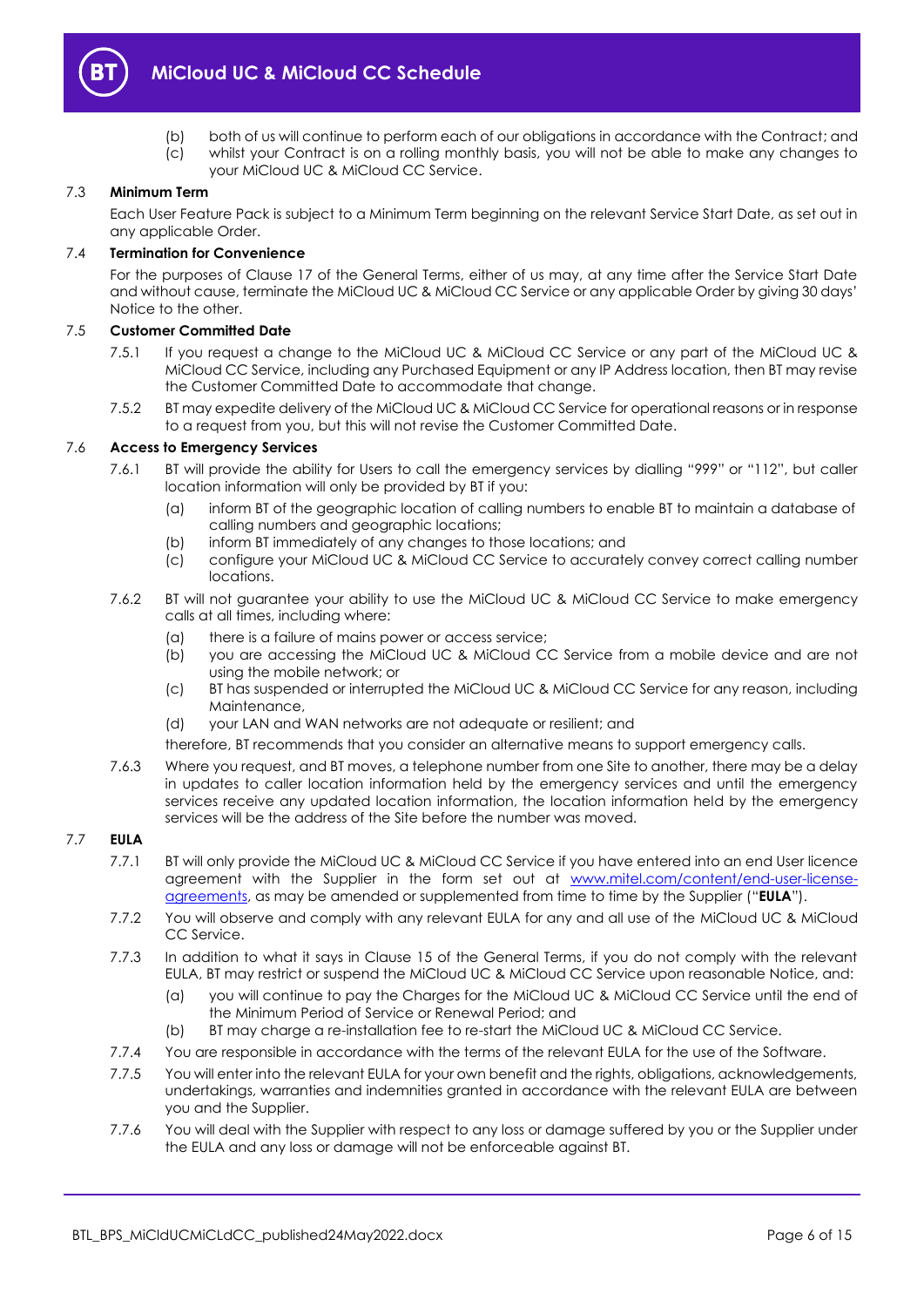

(b) both of us will continue to perform each of our obligations in accordance with the Contract; and (c) whilst your Contract is on a rolling monthly basis, you will not be able to make any changes to your MiCloud UC & MiCloud CC Service.

#### 7.3 **Minimum Term**

Each User Feature Pack is subject to a Minimum Term beginning on the relevant Service Start Date, as set out in any applicable Order.

#### 7.4 **Termination for Convenience**

For the purposes of Clause 17 of the General Terms, either of us may, at any time after the Service Start Date and without cause, terminate the MiCloud UC & MiCloud CC Service or any applicable Order by giving 30 days' Notice to the other.

#### 7.5 **Customer Committed Date**

- 7.5.1 If you request a change to the MiCloud UC & MiCloud CC Service or any part of the MiCloud UC & MiCloud CC Service, including any Purchased Equipment or any IP Address location, then BT may revise the Customer Committed Date to accommodate that change.
- 7.5.2 BT may expedite delivery of the MiCloud UC & MiCloud CC Service for operational reasons or in response to a request from you, but this will not revise the Customer Committed Date.

#### 7.6 **Access to Emergency Services**

- 7.6.1 BT will provide the ability for Users to call the emergency services by dialling "999" or "112", but caller location information will only be provided by BT if you:
	- (a) inform BT of the geographic location of calling numbers to enable BT to maintain a database of calling numbers and geographic locations;
	- (b) inform BT immediately of any changes to those locations; and
	- (c) configure your MiCloud UC & MiCloud CC Service to accurately convey correct calling number locations.
- 7.6.2 BT will not guarantee your ability to use the MiCloud UC & MiCloud CC Service to make emergency calls at all times, including where:
	- (a) there is a failure of mains power or access service;
	- (b) you are accessing the MiCloud UC & MiCloud CC Service from a mobile device and are not using the mobile network; or
	- (c) BT has suspended or interrupted the MiCloud UC & MiCloud CC Service for any reason, including Maintenance,
	- (d) your LAN and WAN networks are not adequate or resilient; and

therefore, BT recommends that you consider an alternative means to support emergency calls.

7.6.3 Where you request, and BT moves, a telephone number from one Site to another, there may be a delay in updates to caller location information held by the emergency services and until the emergency services receive any updated location information, the location information held by the emergency services will be the address of the Site before the number was moved.

#### <span id="page-5-0"></span>7.7 **EULA**

- 7.7.1 BT will only provide the MiCloud UC & MiCloud CC Service if you have entered into an end User licence agreement with the Supplier in the form set out at [www.mitel.com/content/end-user-license](http://www.mitel.com/content/end-user-license-agreements)[agreements,](http://www.mitel.com/content/end-user-license-agreements) as may be amended or supplemented from time to time by the Supplier ("**EULA**").
- 7.7.2 You will observe and comply with any relevant EULA for any and all use of the MiCloud UC & MiCloud CC Service.
- 7.7.3 In addition to what it says in Clause 15 of the General Terms, if you do not comply with the relevant EULA, BT may restrict or suspend the MiCloud UC & MiCloud CC Service upon reasonable Notice, and:
	- (a) you will continue to pay the Charges for the MiCloud UC & MiCloud CC Service until the end of the Minimum Period of Service or Renewal Period; and
	- (b) BT may charge a re-installation fee to re-start the MiCloud UC & MiCloud CC Service.
- 7.7.4 You are responsible in accordance with the terms of the relevant EULA for the use of the Software.
- 7.7.5 You will enter into the relevant EULA for your own benefit and the rights, obligations, acknowledgements, undertakings, warranties and indemnities granted in accordance with the relevant EULA are between you and the Supplier.
- 7.7.6 You will deal with the Supplier with respect to any loss or damage suffered by you or the Supplier under the EULA and any loss or damage will not be enforceable against BT.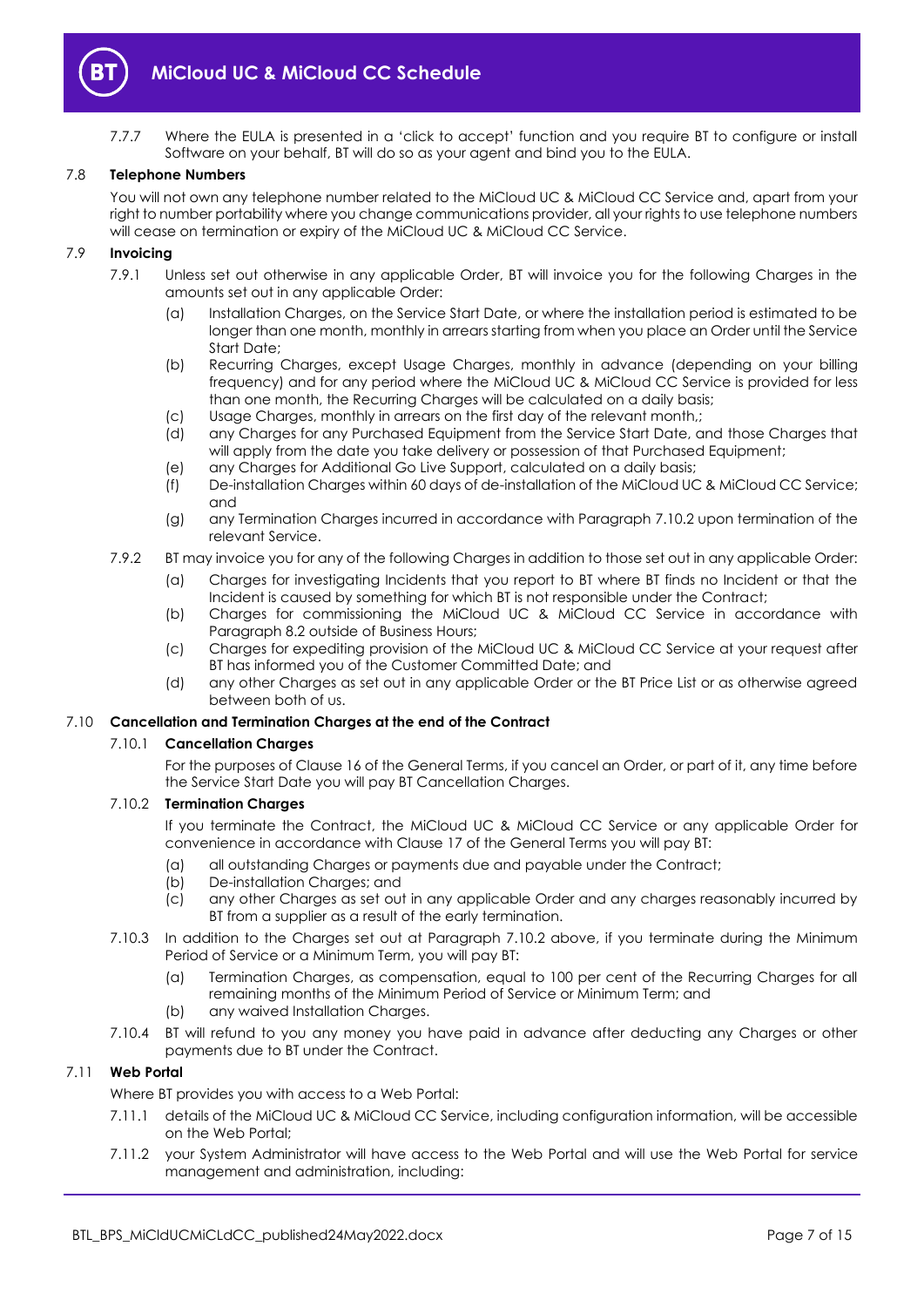

7.7.7 Where the EULA is presented in a 'click to accept' function and you require BT to configure or install Software on your behalf, BT will do so as your agent and bind you to the EULA.

#### 7.8 **Telephone Numbers**

You will not own any telephone number related to the MiCloud UC & MiCloud CC Service and, apart from your right to number portability where you change communications provider, all your rights to use telephone numbers will cease on termination or expiry of the MiCloud UC & MiCloud CC Service.

#### 7.9 **Invoicing**

- 7.9.1 Unless set out otherwise in any applicable Order, BT will invoice you for the following Charges in the amounts set out in any applicable Order:
	- (a) Installation Charges, on the Service Start Date, or where the installation period is estimated to be longer than one month, monthly in arrears starting from when you place an Order until the Service Start Date;
	- (b) Recurring Charges, except Usage Charges, monthly in advance (depending on your billing frequency) and for any period where the MiCloud UC & MiCloud CC Service is provided for less than one month, the Recurring Charges will be calculated on a daily basis;
	- (c) Usage Charges, monthly in arrears on the first day of the relevant month,;
	- (d) any Charges for any Purchased Equipment from the Service Start Date, and those Charges that will apply from the date you take delivery or possession of that Purchased Equipment;
	- (e) any Charges for Additional Go Live Support, calculated on a daily basis;
	- (f) De-installation Charges within 60 days of de-installation of the MiCloud UC & MiCloud CC Service; and
	- (g) any Termination Charges incurred in accordance with Paragraph [7.10.2](#page-6-0) upon termination of the relevant Service.
- 7.9.2 BT may invoice you for any of the following Charges in addition to those set out in any applicable Order:
	- (a) Charges for investigating Incidents that you report to BT where BT finds no Incident or that the Incident is caused by something for which BT is not responsible under the Contract;
	- (b) Charges for commissioning the MiCloud UC & MiCloud CC Service in accordance with Paragraph [8.2](#page-8-3) outside of Business Hours;
	- (c) Charges for expediting provision of the MiCloud UC & MiCloud CC Service at your request after BT has informed you of the Customer Committed Date; and
	- (d) any other Charges as set out in any applicable Order or the BT Price List or as otherwise agreed between both of us.

#### 7.10 **Cancellation and Termination Charges at the end of the Contract**

#### 7.10.1 **Cancellation Charges**

For the purposes of Clause 16 of the General Terms, if you cancel an Order, or part of it, any time before the Service Start Date you will pay BT Cancellation Charges.

#### <span id="page-6-0"></span>7.10.2 **Termination Charges**

If you terminate the Contract, the MiCloud UC & MiCloud CC Service or any applicable Order for convenience in accordance with Clause 17 of the General Terms you will pay BT:

- (a) all outstanding Charges or payments due and payable under the Contract;
- (b) De-installation Charges; and
- (c) any other Charges as set out in any applicable Order and any charges reasonably incurred by BT from a supplier as a result of the early termination.
- 7.10.3 In addition to the Charges set out at Paragraph [7.10.2](#page-6-0) above, if you terminate during the Minimum Period of Service or a Minimum Term, you will pay BT:
	- (a) Termination Charges, as compensation, equal to 100 per cent of the Recurring Charges for all remaining months of the Minimum Period of Service or Minimum Term; and
	- (b) any waived Installation Charges.
- 7.10.4 BT will refund to you any money you have paid in advance after deducting any Charges or other payments due to BT under the Contract.

#### <span id="page-6-1"></span>7.11 **Web Portal**

Where BT provides you with access to a Web Portal:

- 7.11.1 details of the MiCloud UC & MiCloud CC Service, including configuration information, will be accessible on the Web Portal;
- 7.11.2 your System Administrator will have access to the Web Portal and will use the Web Portal for service management and administration, including: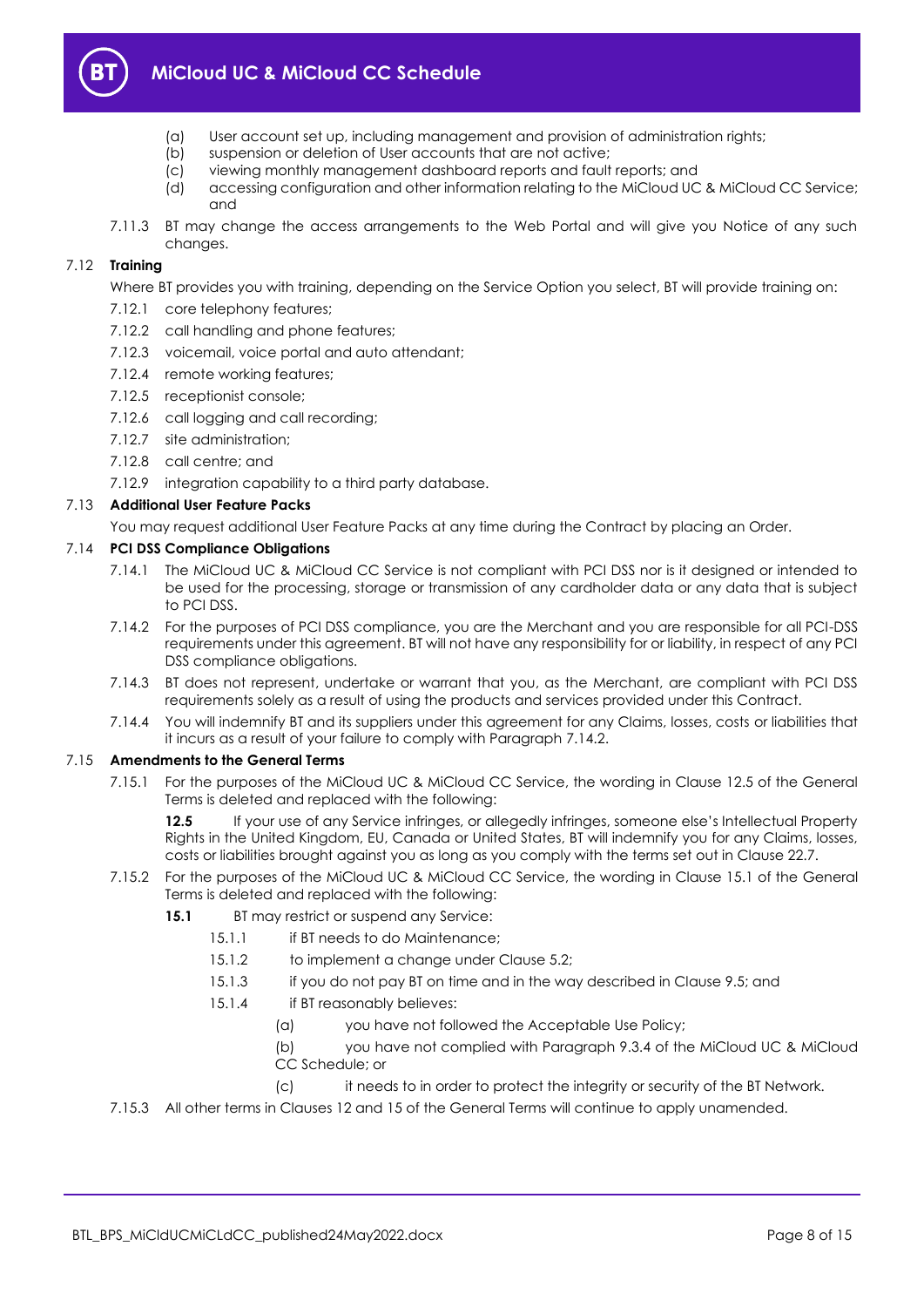

- (a) User account set up, including management and provision of administration rights;
- (b) suspension or deletion of User accounts that are not active;
- (c) viewing monthly management dashboard reports and fault reports; and
- (d) accessing configuration and other information relating to the MiCloud UC & MiCloud CC Service; and
- 7.11.3 BT may change the access arrangements to the Web Portal and will give you Notice of any such changes.

## 7.12 **Training**

Where BT provides you with training, depending on the Service Option you select. BT will provide training on:

- 7.12.1 core telephony features;
- 7.12.2 call handling and phone features;
- 7.12.3 voicemail, voice portal and auto attendant;
- 7.12.4 remote working features;
- 7.12.5 receptionist console;
- 7.12.6 call logging and call recording;
- 7.12.7 site administration;
- 7.12.8 call centre; and
- 7.12.9 integration capability to a third party database.

## 7.13 **Additional User Feature Packs**

You may request additional User Feature Packs at any time during the Contract by placing an Order.

#### 7.14 **PCI DSS Compliance Obligations**

- 7.14.1 The MiCloud UC & MiCloud CC Service is not compliant with PCI DSS nor is it designed or intended to be used for the processing, storage or transmission of any cardholder data or any data that is subject to PCI DSS.
- <span id="page-7-0"></span>7.14.2 For the purposes of PCI DSS compliance, you are the Merchant and you are responsible for all PCI-DSS requirements under this agreement. BT will not have any responsibility for or liability, in respect of any PCI DSS compliance obligations.
- 7.14.3 BT does not represent, undertake or warrant that you, as the Merchant, are compliant with PCI DSS requirements solely as a result of using the products and services provided under this Contract.
- 7.14.4 You will indemnify BT and its suppliers under this agreement for any Claims, losses, costs or liabilities that it incurs as a result of your failure to comply with Paragraph [7.14.2.](#page-7-0)

#### 7.15 **Amendments to the General Terms**

7.15.1 For the purposes of the MiCloud UC & MiCloud CC Service, the wording in Clause 12.5 of the General Terms is deleted and replaced with the following:

**12.5** If your use of any Service infringes, or allegedly infringes, someone else's Intellectual Property Rights in the United Kingdom, EU, Canada or United States, BT will indemnify you for any Claims, losses, costs or liabilities brought against you as long as you comply with the terms set out in Clause 22.7.

- 7.15.2 For the purposes of the MiCloud UC & MiCloud CC Service, the wording in Clause 15.1 of the General Terms is deleted and replaced with the following:
	- **15.1** BT may restrict or suspend any Service:
		- 15.1.1 if BT needs to do Maintenance:
		- 15.1.2 to implement a change under Clause 5.2;
		- 15.1.3 if you do not pay BT on time and in the way described in Clause 9.5; and
		- 15.1.4 if BT reasonably believes:
			- (a) you have not followed the Acceptable Use Policy;
			- (b) you have not complied with Paragraph [9.3.4](#page-9-0) of the MiCloud UC & MiCloud CC Schedule; or
				- (c) it needs to in order to protect the integrity or security of the BT Network.
- 7.15.3 All other terms in Clauses 12 and 15 of the General Terms will continue to apply unamended.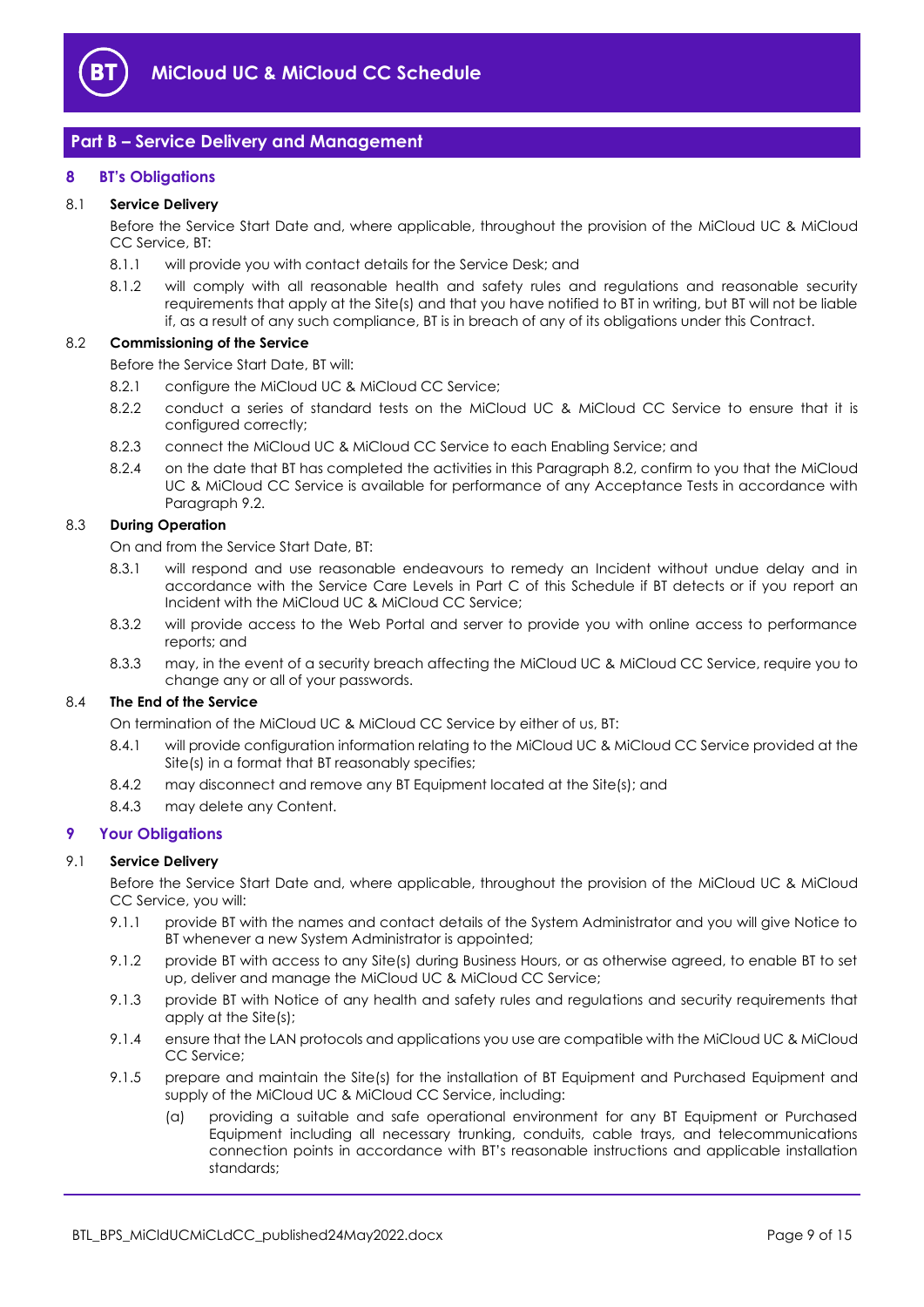

## <span id="page-8-0"></span>**Part B – Service Delivery and Management**

#### <span id="page-8-1"></span>**8 BT's Obligations**

#### 8.1 **Service Delivery**

Before the Service Start Date and, where applicable, throughout the provision of the MiCloud UC & MiCloud CC Service, BT:

- 8.1.1 will provide you with contact details for the Service Desk; and
- 8.1.2 will comply with all reasonable health and safety rules and regulations and reasonable security requirements that apply at the Site(s) and that you have notified to BT in writing, but BT will not be liable if, as a result of any such compliance, BT is in breach of any of its obligations under this Contract.

#### <span id="page-8-3"></span>8.2 **Commissioning of the Service**

Before the Service Start Date, BT will:

- 8.2.1 configure the MiCloud UC & MiCloud CC Service;
- 8.2.2 conduct a series of standard tests on the MiCloud UC & MiCloud CC Service to ensure that it is configured correctly;
- 8.2.3 connect the MiCloud UC & MiCloud CC Service to each Enabling Service; and
- <span id="page-8-4"></span>8.2.4 on the date that BT has completed the activities in this Paragraph [8.2,](#page-8-3) confirm to you that the MiCloud UC & MiCloud CC Service is available for performance of any Acceptance Tests in accordance with Paragrap[h 9.2.](#page-9-1)

#### <span id="page-8-5"></span>8.3 **During Operation**

On and from the Service Start Date, BT:

- 8.3.1 will respond and use reasonable endeavours to remedy an Incident without undue delay and in accordance with the Service Care Levels in Part C of this Schedule if BT detects or if you report an Incident with the MiCloud UC & MiCloud CC Service;
- 8.3.2 will provide access to the Web Portal and server to provide you with online access to performance reports; and
- 8.3.3 may, in the event of a security breach affecting the MiCloud UC & MiCloud CC Service, require you to change any or all of your passwords.

#### 8.4 **The End of the Service**

On termination of the MiCloud UC & MiCloud CC Service by either of us, BT:

- 8.4.1 will provide configuration information relating to the MiCloud UC & MiCloud CC Service provided at the Site(s) in a format that BT reasonably specifies;
- 8.4.2 may disconnect and remove any BT Equipment located at the Site(s); and
- 8.4.3 may delete any Content.

#### <span id="page-8-2"></span>**9 Your Obligations**

#### 9.1 **Service Delivery**

Before the Service Start Date and, where applicable, throughout the provision of the MiCloud UC & MiCloud CC Service, you will:

- 9.1.1 provide BT with the names and contact details of the System Administrator and you will give Notice to BT whenever a new System Administrator is appointed;
- 9.1.2 provide BT with access to any Site(s) during Business Hours, or as otherwise agreed, to enable BT to set up, deliver and manage the MiCloud UC & MiCloud CC Service;
- 9.1.3 provide BT with Notice of any health and safety rules and regulations and security requirements that apply at the Site(s);
- 9.1.4 ensure that the LAN protocols and applications you use are compatible with the MiCloud UC & MiCloud CC Service;
- 9.1.5 prepare and maintain the Site(s) for the installation of BT Equipment and Purchased Equipment and supply of the MiCloud UC & MiCloud CC Service, including:
	- (a) providing a suitable and safe operational environment for any BT Equipment or Purchased Equipment including all necessary trunking, conduits, cable trays, and telecommunications connection points in accordance with BT's reasonable instructions and applicable installation standards;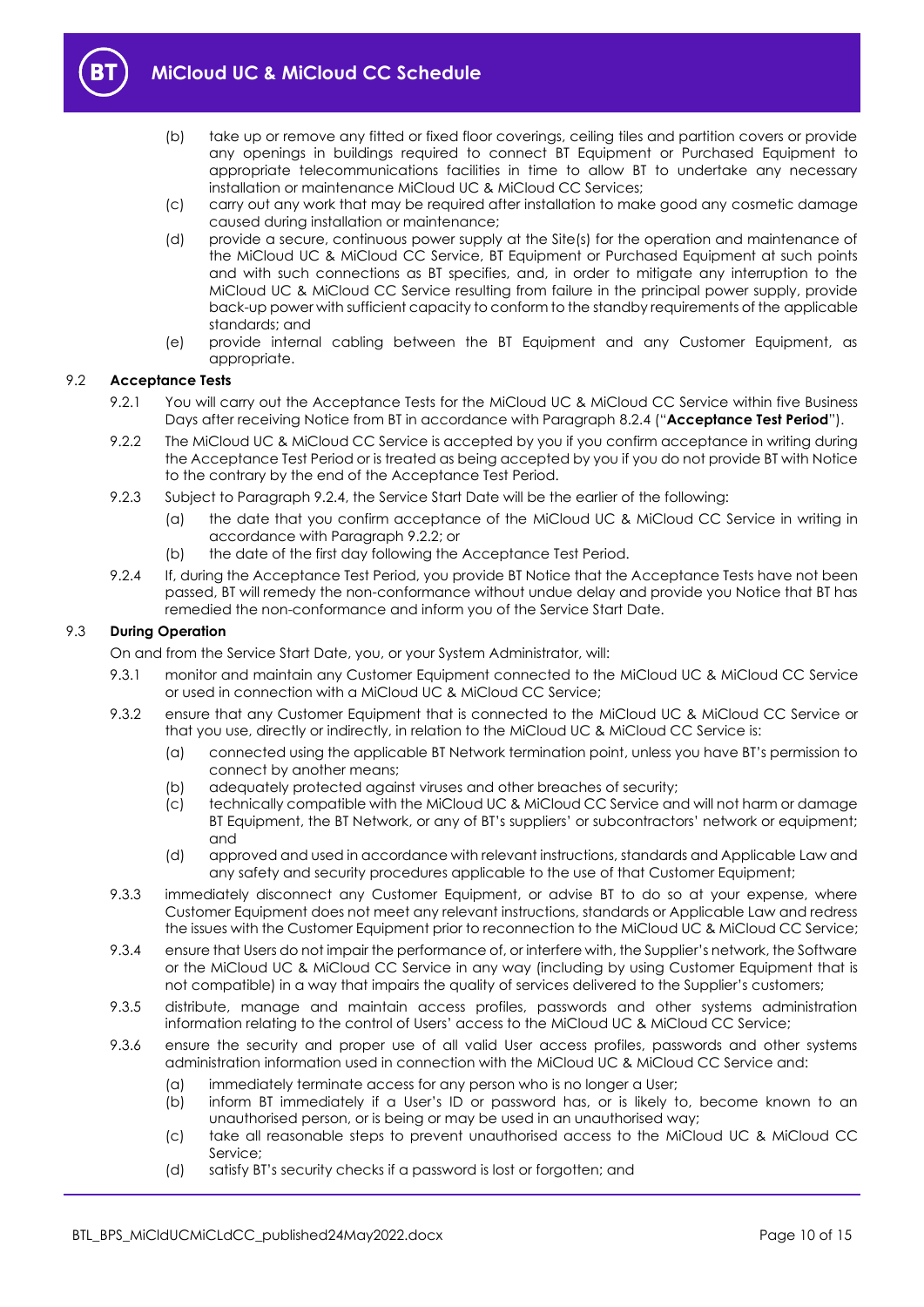

- 
- (b) take up or remove any fitted or fixed floor coverings, ceiling tiles and partition covers or provide any openings in buildings required to connect BT Equipment or Purchased Equipment to appropriate telecommunications facilities in time to allow BT to undertake any necessary installation or maintenance MiCloud UC & MiCloud CC Services;
- (c) carry out any work that may be required after installation to make good any cosmetic damage caused during installation or maintenance;
- (d) provide a secure, continuous power supply at the Site(s) for the operation and maintenance of the MiCloud UC & MiCloud CC Service, BT Equipment or Purchased Equipment at such points and with such connections as BT specifies, and, in order to mitigate any interruption to the MiCloud UC & MiCloud CC Service resulting from failure in the principal power supply, provide back-up power with sufficient capacity to conform to the standby requirements of the applicable standards; and
- (e) provide internal cabling between the BT Equipment and any Customer Equipment, as appropriate.

#### <span id="page-9-4"></span><span id="page-9-1"></span>9.2 **Acceptance Tests**

- 9.2.1 You will carry out the Acceptance Tests for the MiCloud UC & MiCloud CC Service within five Business Days after receiving Notice from BT in accordance with Paragraph [8.2.4](#page-8-4) ("**Acceptance Test Period**").
- <span id="page-9-3"></span>9.2.2 The MiCloud UC & MiCloud CC Service is accepted by you if you confirm acceptance in writing during the Acceptance Test Period or is treated as being accepted by you if you do not provide BT with Notice to the contrary by the end of the Acceptance Test Period.
- 9.2.3 Subject to Paragraph [9.2.4,](#page-9-2) the Service Start Date will be the earlier of the following:
	- (a) the date that you confirm acceptance of the MiCloud UC & MiCloud CC Service in writing in accordance with Paragrap[h 9.2.2;](#page-9-3) or
	- (b) the date of the first day following the Acceptance Test Period.
- <span id="page-9-2"></span>9.2.4 If, during the Acceptance Test Period, you provide BT Notice that the Acceptance Tests have not been passed, BT will remedy the non-conformance without undue delay and provide you Notice that BT has remedied the non-conformance and inform you of the Service Start Date.

#### 9.3 **During Operation**

On and from the Service Start Date, you, or your System Administrator, will:

- 9.3.1 monitor and maintain any Customer Equipment connected to the MiCloud UC & MiCloud CC Service or used in connection with a MiCloud UC & MiCloud CC Service;
- 9.3.2 ensure that any Customer Equipment that is connected to the MiCloud UC & MiCloud CC Service or that you use, directly or indirectly, in relation to the MiCloud UC & MiCloud CC Service is:
	- (a) connected using the applicable BT Network termination point, unless you have BT's permission to connect by another means;
	- (b) adequately protected against viruses and other breaches of security;
	- (c) technically compatible with the MiCloud UC & MiCloud CC Service and will not harm or damage BT Equipment, the BT Network, or any of BT's suppliers' or subcontractors' network or equipment; and
	- (d) approved and used in accordance with relevant instructions, standards and Applicable Law and any safety and security procedures applicable to the use of that Customer Equipment;
- 9.3.3 immediately disconnect any Customer Equipment, or advise BT to do so at your expense, where Customer Equipment does not meet any relevant instructions, standards or Applicable Law and redress the issues with the Customer Equipment prior to reconnection to the MiCloud UC & MiCloud CC Service;
- <span id="page-9-0"></span>9.3.4 ensure that Users do not impair the performance of, or interfere with, the Supplier's network, the Software or the MiCloud UC & MiCloud CC Service in any way (including by using Customer Equipment that is not compatible) in a way that impairs the quality of services delivered to the Supplier's customers;
- 9.3.5 distribute, manage and maintain access profiles, passwords and other systems administration information relating to the control of Users' access to the MiCloud UC & MiCloud CC Service;
- 9.3.6 ensure the security and proper use of all valid User access profiles, passwords and other systems administration information used in connection with the MiCloud UC & MiCloud CC Service and:
	- (a) immediately terminate access for any person who is no longer a User;
	- (b) inform BT immediately if a User's ID or password has, or is likely to, become known to an unauthorised person, or is being or may be used in an unauthorised way;
	- (c) take all reasonable steps to prevent unauthorised access to the MiCloud UC & MiCloud CC Service;
	- (d) satisfy BT's security checks if a password is lost or forgotten; and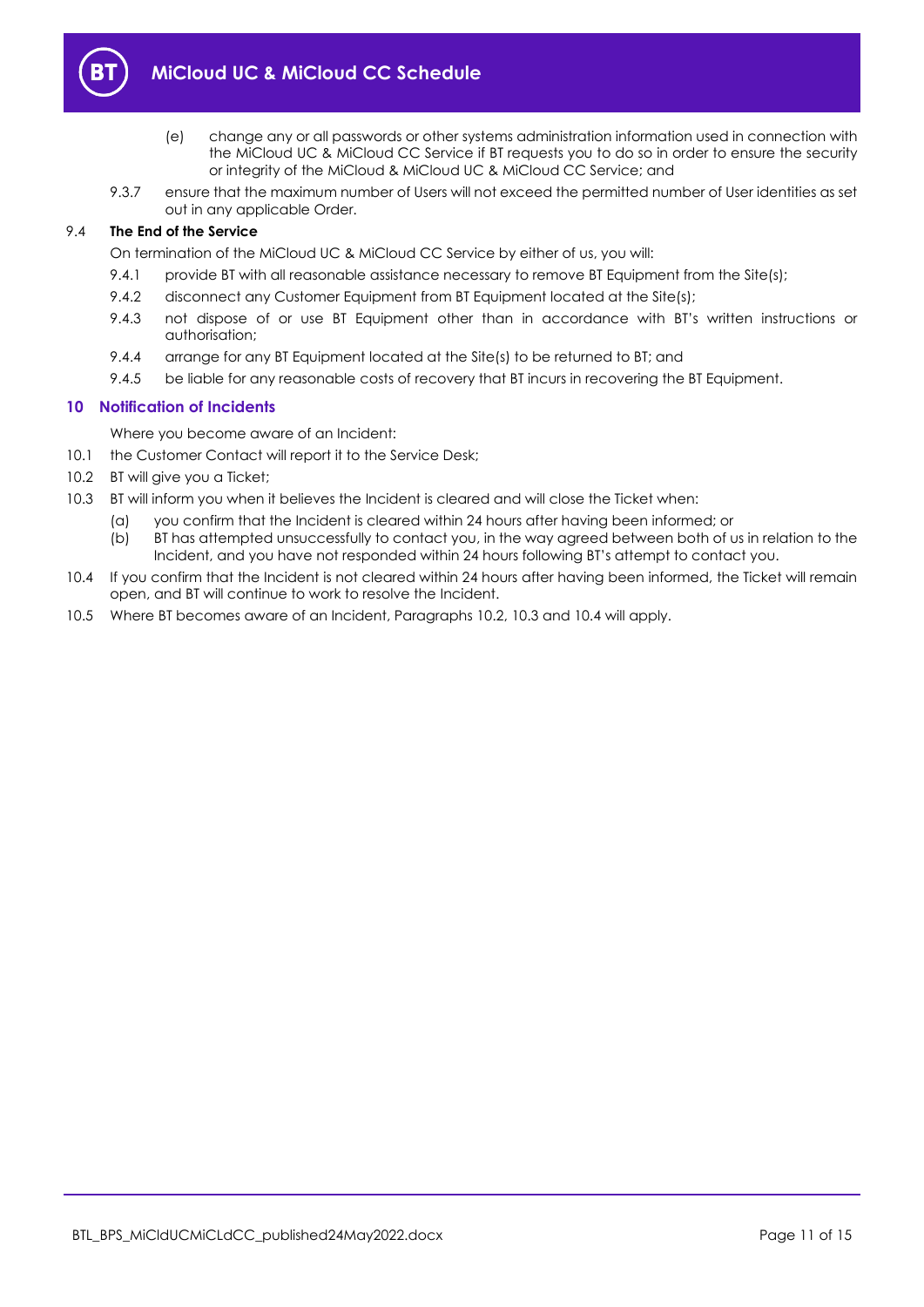

- (e) change any or all passwords or other systems administration information used in connection with the MiCloud UC & MiCloud CC Service if BT requests you to do so in order to ensure the security or integrity of the MiCloud & MiCloud UC & MiCloud CC Service; and
- 9.3.7 ensure that the maximum number of Users will not exceed the permitted number of User identities as set out in any applicable Order.

#### 9.4 **The End of the Service**

On termination of the MiCloud UC & MiCloud CC Service by either of us, you will:

- 9.4.1 provide BT with all reasonable assistance necessary to remove BT Equipment from the Site(s);
- 9.4.2 disconnect any Customer Equipment from BT Equipment located at the Site(s);
- 9.4.3 not dispose of or use BT Equipment other than in accordance with BT's written instructions or authorisation;
- 9.4.4 arrange for any BT Equipment located at the Site(s) to be returned to BT; and
- 9.4.5 be liable for any reasonable costs of recovery that BT incurs in recovering the BT Equipment.

## <span id="page-10-0"></span>**10 Notification of Incidents**

Where you become aware of an Incident:

10.1 the Customer Contact will report it to the Service Desk;

- <span id="page-10-1"></span>10.2 BT will give you a Ticket;
- <span id="page-10-2"></span>10.3 BT will inform you when it believes the Incident is cleared and will close the Ticket when:
	- (a) you confirm that the Incident is cleared within 24 hours after having been informed; or
	- (b) BT has attempted unsuccessfully to contact you, in the way agreed between both of us in relation to the Incident, and you have not responded within 24 hours following BT's attempt to contact you.
- <span id="page-10-3"></span>10.4 If you confirm that the Incident is not cleared within 24 hours after having been informed, the Ticket will remain open, and BT will continue to work to resolve the Incident.
- 10.5 Where BT becomes aware of an Incident, Paragraphs [10.2,](#page-10-1) [10.3](#page-10-2) and [10.4](#page-10-3) will apply.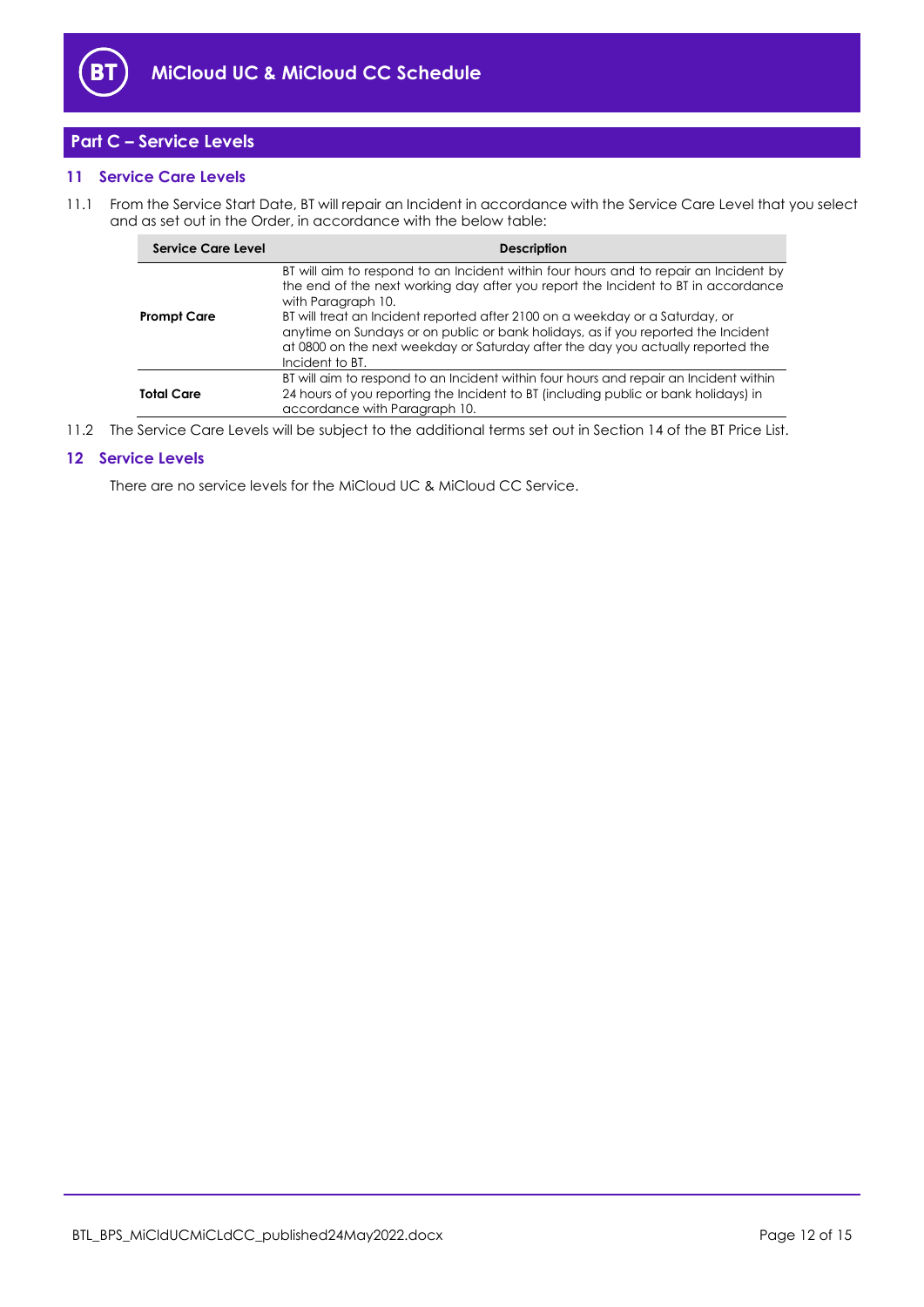

## <span id="page-11-0"></span>**Part C – Service Levels**

## <span id="page-11-1"></span>**11 Service Care Levels**

<span id="page-11-3"></span>11.1 From the Service Start Date, BT will repair an Incident in accordance with the Service Care Level that you select and as set out in the Order, in accordance with the below table:

| Service Care Level | <b>Description</b>                                                                                                                                                                                                                                                                                                                                                                                                                                                         |
|--------------------|----------------------------------------------------------------------------------------------------------------------------------------------------------------------------------------------------------------------------------------------------------------------------------------------------------------------------------------------------------------------------------------------------------------------------------------------------------------------------|
| <b>Prompt Care</b> | BT will aim to respond to an Incident within four hours and to repair an Incident by<br>the end of the next working day after you report the Incident to BT in accordance<br>with Paragraph 10.<br>BT will treat an Incident reported after 2100 on a weekday or a Saturday, or<br>anytime on Sundays or on public or bank holidays, as if you reported the Incident<br>at 0800 on the next weekday or Saturday after the day you actually reported the<br>Incident to BT. |
| <b>Total Care</b>  | BT will aim to respond to an Incident within four hours and repair an Incident within<br>24 hours of you reporting the Incident to BT (including public or bank holidays) in<br>accordance with Paragraph 10.                                                                                                                                                                                                                                                              |

11.2 The Service Care Levels will be subject to the additional terms set out in Section 14 of the BT Price List.

#### <span id="page-11-2"></span>**12 Service Levels**

There are no service levels for the MiCloud UC & MiCloud CC Service.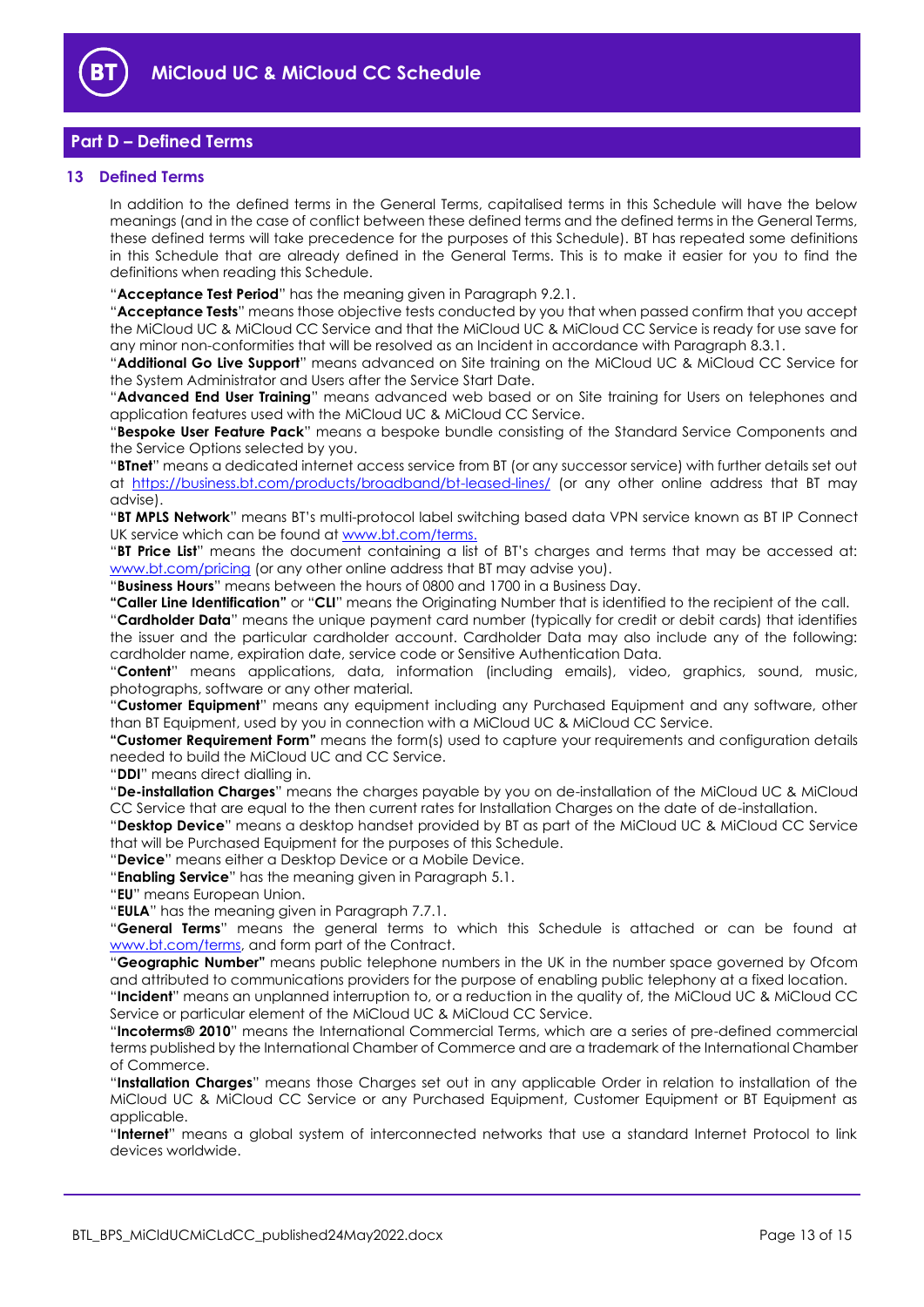

## <span id="page-12-0"></span>**Part D – Defined Terms**

#### <span id="page-12-1"></span>**13 Defined Terms**

In addition to the defined terms in the General Terms, capitalised terms in this Schedule will have the below meanings (and in the case of conflict between these defined terms and the defined terms in the General Terms, these defined terms will take precedence for the purposes of this Schedule). BT has repeated some definitions in this Schedule that are already defined in the General Terms. This is to make it easier for you to find the definitions when reading this Schedule.

"**Acceptance Test Period**" has the meaning given in Paragrap[h 9.2.1.](#page-9-4)

"**Acceptance Tests**" means those objective tests conducted by you that when passed confirm that you accept the MiCloud UC & MiCloud CC Service and that the MiCloud UC & MiCloud CC Service is ready for use save for any minor non-conformities that will be resolved as an Incident in accordance with Paragrap[h 8.3.1.](#page-8-5)

"**Additional Go Live Support**" means advanced on Site training on the MiCloud UC & MiCloud CC Service for the System Administrator and Users after the Service Start Date.

"**Advanced End User Training**" means advanced web based or on Site training for Users on telephones and application features used with the MiCloud UC & MiCloud CC Service.

"**Bespoke User Feature Pack**" means a bespoke bundle consisting of the Standard Service Components and the Service Options selected by you.

"**BTnet**" means a dedicated internet access service from BT (or any successor service) with further details set out at <https://business.bt.com/products/broadband/bt-leased-lines/> (or any other online address that BT may advise).

"**BT MPLS Network**" means BT's multi-protocol label switching based data VPN service known as BT IP Connect UK service which can be found a[t www.bt.com/terms.](http://www.bt.com/terms)

"**BT Price List**" means the document containing a list of BT's charges and terms that may be accessed at: [www.bt.com/pricing](http://www.bt.com/pricing) (or any other online address that BT may advise you).

"**Business Hours**" means between the hours of 0800 and 1700 in a Business Day.

**"Caller Line Identification"** or "**CLI**" means the Originating Number that is identified to the recipient of the call.

"**Cardholder Data**" means the unique payment card number (typically for credit or debit cards) that identifies the issuer and the particular cardholder account. Cardholder Data may also include any of the following: cardholder name, expiration date, service code or Sensitive Authentication Data.

"**Content**" means applications, data, information (including emails), video, graphics, sound, music, photographs, software or any other material.

"**Customer Equipment**" means any equipment including any Purchased Equipment and any software, other than BT Equipment, used by you in connection with a MiCloud UC & MiCloud CC Service.

**"Customer Requirement Form"** means the form(s) used to capture your requirements and configuration details needed to build the MiCloud UC and CC Service.

"**DDI**" means direct dialling in.

"**De-installation Charges**" means the charges payable by you on de-installation of the MiCloud UC & MiCloud CC Service that are equal to the then current rates for Installation Charges on the date of de-installation.

"**Desktop Device**" means a desktop handset provided by BT as part of the MiCloud UC & MiCloud CC Service that will be Purchased Equipment for the purposes of this Schedule.

"**Device**" means either a Desktop Device or a Mobile Device.

"**Enabling Service**" has the meaning given in Paragrap[h 5.1.](#page-2-3)

"**EU**" means European Union.

"**EULA**" has the meaning given in Paragraph [7.7.1.](#page-5-0)

"**General Terms**" means the general terms to which this Schedule is attached or can be found at [www.bt.com/terms,](http://www.bt.com/terms) and form part of the Contract.

"**Geographic Number"** means public telephone numbers in the UK in the number space governed by Ofcom and attributed to communications providers for the purpose of enabling public telephony at a fixed location. "**Incident**" means an unplanned interruption to, or a reduction in the quality of, the MiCloud UC & MiCloud CC Service or particular element of the MiCloud UC & MiCloud CC Service.

"**Incoterms® 2010**" means the International Commercial Terms, which are a series of pre-defined commercial terms published by the International Chamber of Commerce and are a trademark of the International Chamber of Commerce.

"**Installation Charges**" means those Charges set out in any applicable Order in relation to installation of the MiCloud UC & MiCloud CC Service or any Purchased Equipment, Customer Equipment or BT Equipment as applicable.

"**Internet**" means a global system of interconnected networks that use a standard Internet Protocol to link devices worldwide.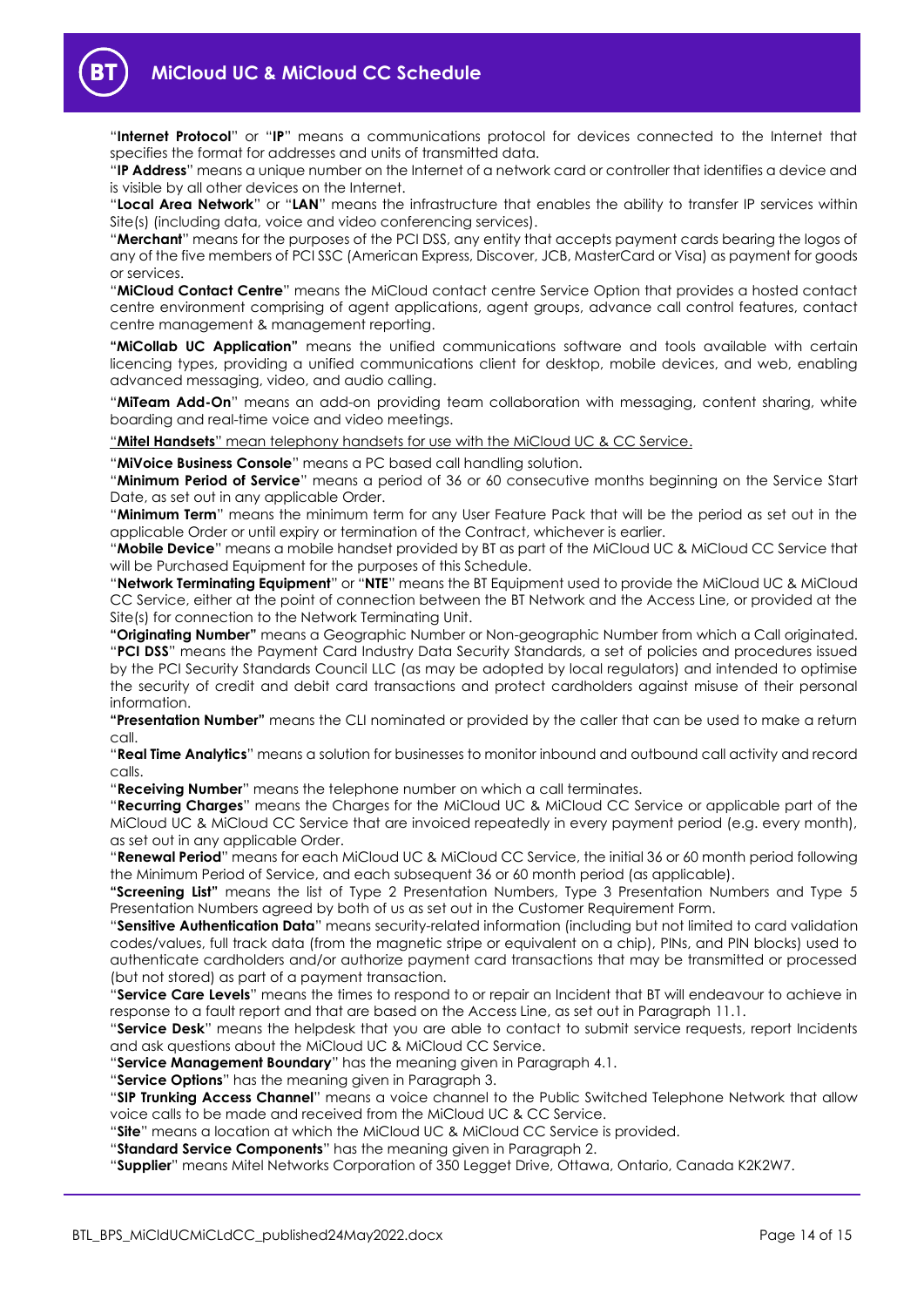"**Internet Protocol**" or "**IP**" means a communications protocol for devices connected to the Internet that specifies the format for addresses and units of transmitted data.

"**IP Address**" means a unique number on the Internet of a network card or controller that identifies a device and is visible by all other devices on the Internet.

"**Local Area Network**" or "**LAN**" means the infrastructure that enables the ability to transfer IP services within Site(s) (including data, voice and video conferencing services).

"**Merchant**" means for the purposes of the PCI DSS, any entity that accepts payment cards bearing the logos of any of the five members of PCI SSC (American Express, Discover, JCB, MasterCard or Visa) as payment for goods or services.

"**MiCloud Contact Centre**" means the MiCloud contact centre Service Option that provides a hosted contact centre environment comprising of agent applications, agent groups, advance call control features, contact centre management & management reporting.

**"MiCollab UC Application"** means the unified communications software and tools available with certain licencing types, providing a unified communications client for desktop, mobile devices, and web, enabling advanced messaging, video, and audio calling.

"**MiTeam Add-On**" means an add-on providing team collaboration with messaging, content sharing, white boarding and real-time voice and video meetings.

"**Mitel Handsets**" mean telephony handsets for use with the MiCloud UC & CC Service.

"**MiVoice Business Console**" means a PC based call handling solution.

"**Minimum Period of Service**" means a period of 36 or 60 consecutive months beginning on the Service Start Date, as set out in any applicable Order.

"**Minimum Term**" means the minimum term for any User Feature Pack that will be the period as set out in the applicable Order or until expiry or termination of the Contract, whichever is earlier.

"**Mobile Device**" means a mobile handset provided by BT as part of the MiCloud UC & MiCloud CC Service that will be Purchased Equipment for the purposes of this Schedule.

"**Network Terminating Equipment**" or "**NTE**" means the BT Equipment used to provide the MiCloud UC & MiCloud CC Service, either at the point of connection between the BT Network and the Access Line, or provided at the Site(s) for connection to the Network Terminating Unit.

**"Originating Number"** means a Geographic Number or Non-geographic Number from which a Call originated. "**PCI DSS**" means the Payment Card Industry Data Security Standards, a set of policies and procedures issued by the PCI Security Standards Council LLC (as may be adopted by local regulators) and intended to optimise the security of credit and debit card transactions and protect cardholders against misuse of their personal information.

**"Presentation Number"** means the CLI nominated or provided by the caller that can be used to make a return call.

"**Real Time Analytics**" means a solution for businesses to monitor inbound and outbound call activity and record calls.

"**Receiving Number**" means the telephone number on which a call terminates.

"**Recurring Charges**" means the Charges for the MiCloud UC & MiCloud CC Service or applicable part of the MiCloud UC & MiCloud CC Service that are invoiced repeatedly in every payment period (e.g. every month), as set out in any applicable Order.

"**Renewal Period**" means for each MiCloud UC & MiCloud CC Service, the initial 36 or 60 month period following the Minimum Period of Service, and each subsequent 36 or 60 month period (as applicable).

**"Screening List"** means the list of Type 2 Presentation Numbers, Type 3 Presentation Numbers and Type 5 Presentation Numbers agreed by both of us as set out in the Customer Requirement Form.

"**Sensitive Authentication Data**" means security-related information (including but not limited to card validation codes/values, full track data (from the magnetic stripe or equivalent on a chip), PINs, and PIN blocks) used to authenticate cardholders and/or authorize payment card transactions that may be transmitted or processed (but not stored) as part of a payment transaction.

"**Service Care Levels**" means the times to respond to or repair an Incident that BT will endeavour to achieve in response to a fault report and that are based on the Access Line, as set out in Paragrap[h 11.1.](#page-11-3)

"**Service Desk**" means the helpdesk that you are able to contact to submit service requests, report Incidents and ask questions about the MiCloud UC & MiCloud CC Service.

"**Service Management Boundary**" has the meaning given in Paragrap[h 4.1.](#page-2-4)

"**Service Options**" has the meaning given in Paragraph [3.](#page-1-5)

"**SIP Trunking Access Channel**" means a voice channel to the Public Switched Telephone Network that allow voice calls to be made and received from the MiCloud UC & CC Service.

"**Site**" means a location at which the MiCloud UC & MiCloud CC Service is provided.

"**Standard Service Components**" has the meaning given in Paragraph [2.](#page-1-4)

"**Supplier**" means Mitel Networks Corporation of 350 Legget Drive, Ottawa, Ontario, Canada K2K2W7.